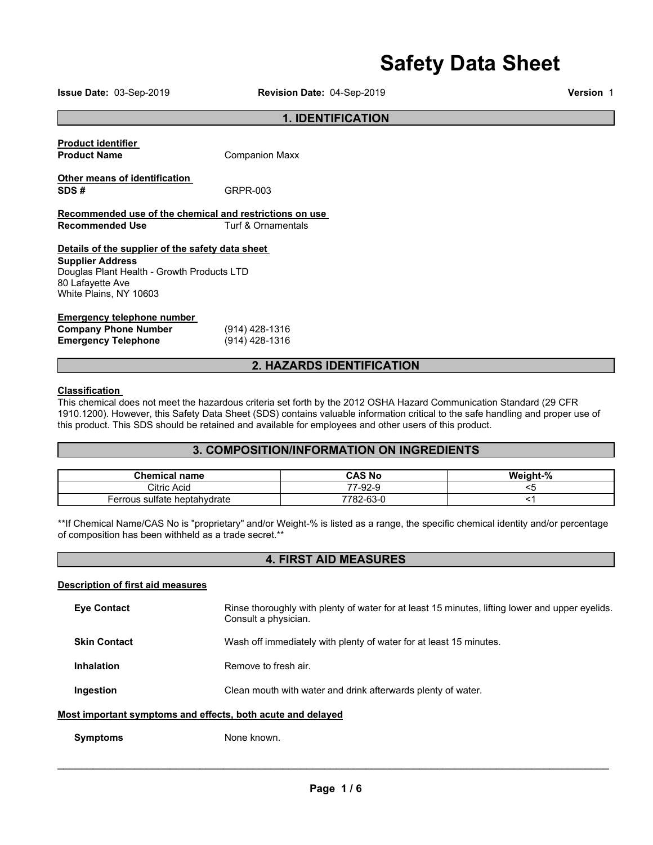# **Safety Data Sheet**

**Issue Date:** 03-Sep-2019 **Revision Date:** 04-Sep-2019 **Version** 1

# **1. IDENTIFICATION**

| <b>Product identifier</b><br><b>Product Name</b>                                         | <b>Companion Maxx</b> |  |  |  |
|------------------------------------------------------------------------------------------|-----------------------|--|--|--|
| Other means of identification<br>SDS#                                                    | GRPR-003              |  |  |  |
| Recommended use of the chemical and restrictions on use<br>Recommended Use               | Turf & Ornamentals    |  |  |  |
| Details of the supplier of the safety data sheet<br><b>Supplier Address</b>              |                       |  |  |  |
| Douglas Plant Health - Growth Products LTD<br>80 Lafayette Ave<br>White Plains, NY 10603 |                       |  |  |  |

#### **Emergency telephone number**

| <b>Company Phone Number</b> | $(914)$ 428-1316 |
|-----------------------------|------------------|
| <b>Emergency Telephone</b>  | (914) 428-1316   |

# **2. HAZARDS IDENTIFICATION**

### **Classification**

This chemical does not meet the hazardous criteria set forth by the 2012 OSHA Hazard Communication Standard (29 CFR 1910.1200). However, this Safety Data Sheet (SDS) contains valuable information critical to the safe handling and proper use of this product. This SDS should be retained and available for employees and other users of this product.

# **3. COMPOSITION/INFORMATION ON INGREDIENTS**

| <b>Chemical name</b>         | CAS No               | Weight-% |
|------------------------------|----------------------|----------|
| Citric Acid                  | 77-92-9              |          |
| Ferrous sulfate heptahydrate | <sup>7782-63-0</sup> |          |

\*\*If Chemical Name/CAS No is "proprietary" and/or Weight-% is listed as a range, the specific chemical identity and/or percentage of composition has been withheld as a trade secret.\*\*

| <b>4. FIRST AID MEASURES</b>                                |                                                                                                                         |  |
|-------------------------------------------------------------|-------------------------------------------------------------------------------------------------------------------------|--|
| <b>Description of first aid measures</b>                    |                                                                                                                         |  |
| <b>Eve Contact</b>                                          | Rinse thoroughly with plenty of water for at least 15 minutes, lifting lower and upper eyelids.<br>Consult a physician. |  |
| <b>Skin Contact</b>                                         | Wash off immediately with plenty of water for at least 15 minutes.                                                      |  |
| <b>Inhalation</b>                                           | Remove to fresh air.                                                                                                    |  |
| Ingestion                                                   | Clean mouth with water and drink afterwards plenty of water.                                                            |  |
| Most important symptoms and effects, both acute and delayed |                                                                                                                         |  |
| <b>Symptoms</b>                                             | None known.                                                                                                             |  |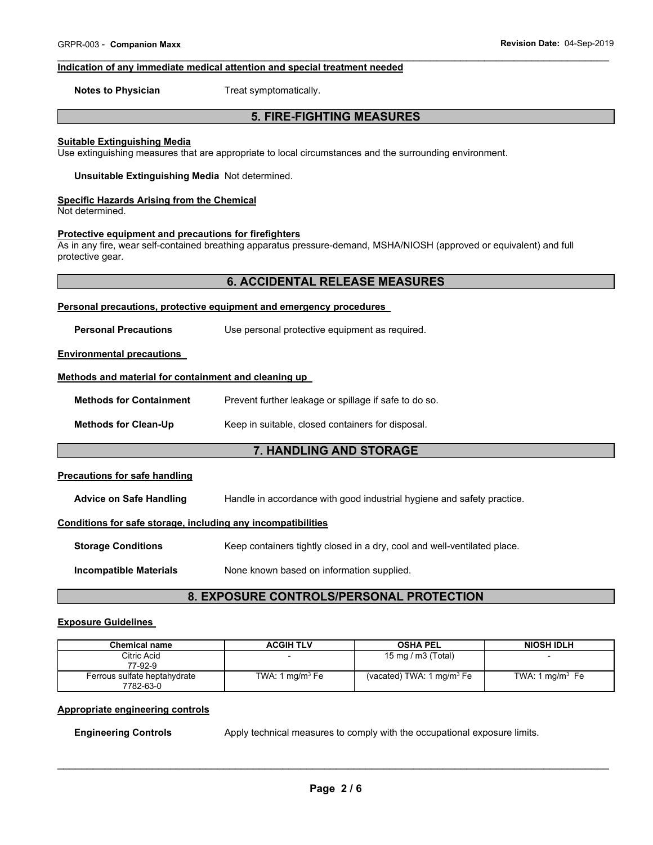#### $\overline{\phantom{a}}$  , and the contribution of the contribution of the contribution of the contribution of the contribution of the contribution of the contribution of the contribution of the contribution of the contribution of the **Indication of any immediate medical attention and special treatment needed**

**Notes to Physician**  Treat symptomatically.

# **5. FIRE-FIGHTING MEASURES**

#### **Suitable Extinguishing Media**

Use extinguishing measures that are appropriate to local circumstances and the surrounding environment.

**Unsuitable Extinguishing Media** Not determined.

#### **Specific Hazards Arising from the Chemical**

Not determined.

# **Protective equipment and precautions for firefighters**

As in any fire, wear self-contained breathing apparatus pressure-demand, MSHA/NIOSH (approved or equivalent) and full protective gear.

# **6. ACCIDENTAL RELEASE MEASURES**

#### **Personal precautions, protective equipment and emergency procedures**

**Personal Precautions Use personal protective equipment as required.** 

#### **Environmental precautions**

#### **Methods and material for containment and cleaning up**

**Methods for Clean-Up Keep in suitable, closed containers for disposal.** 

#### **7. HANDLING AND STORAGE**

### **Precautions for safe handling**

**Advice on Safe Handling** Handle in accordance with good industrial hygiene and safety practice.

#### **Conditions for safe storage, including any incompatibilities**

| <b>Storage Conditions</b> | Keep containers tightly closed in a dry, cool and well-ventilated place. |
|---------------------------|--------------------------------------------------------------------------|
|                           |                                                                          |

**Incompatible Materials None known based on information supplied.** 

# **8. EXPOSURE CONTROLS/PERSONAL PROTECTION**

### **Exposure Guidelines**

| <b>Chemical name</b>                      | <b>ACGIH TLV</b>  | <b>OSHA PEL</b>                       | <b>NIOSH IDLH</b>          |
|-------------------------------------------|-------------------|---------------------------------------|----------------------------|
| Citric Acid<br>77-92-9                    |                   | 15 mg / m $3$ (Total)                 |                            |
| Ferrous sulfate heptahydrate<br>7782-63-0 | TWA: 1 $mq/m3$ Fe | (vacated) TWA: 1 mg/m <sup>3</sup> Fe | TWA: $1 \text{ mg/m}^3$ Fe |

#### **Appropriate engineering controls**

**Engineering Controls Apply technical measures to comply with the occupational exposure limits.**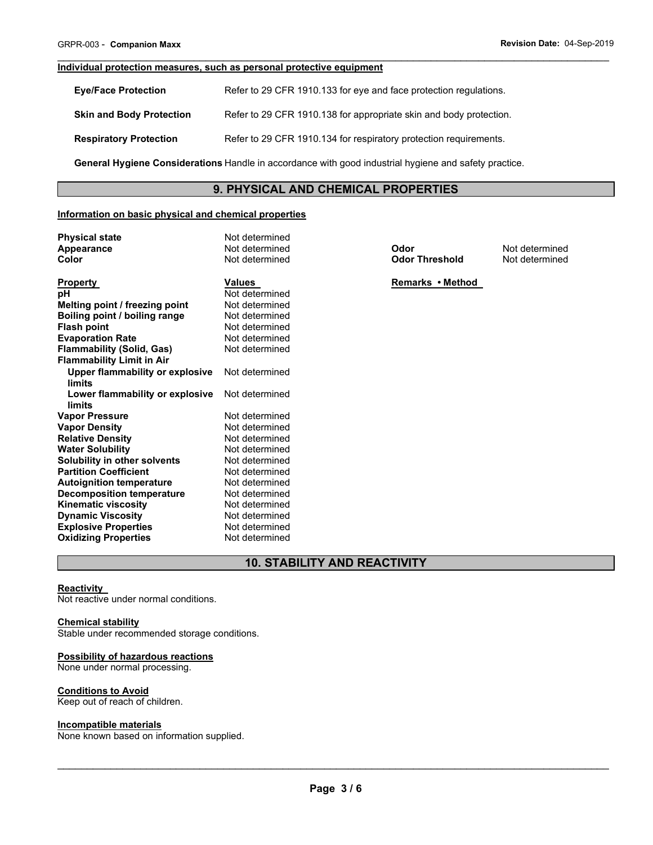#### **Individual protection measures, such as personal protective equipment**

| <b>Eve/Face Protection</b>      | Refer to 29 CFR 1910.133 for eye and face protection regulations.  |
|---------------------------------|--------------------------------------------------------------------|
| <b>Skin and Body Protection</b> | Refer to 29 CFR 1910.138 for appropriate skin and body protection. |
| <b>Respiratory Protection</b>   | Refer to 29 CFR 1910.134 for respiratory protection requirements.  |

**General Hygiene Considerations** Handle in accordance with good industrial hygiene and safety practice.

# **9. PHYSICAL AND CHEMICAL PROPERTIES**

 $\overline{\phantom{a}}$  , and the contribution of the contribution of the contribution of the contribution of the contribution of the contribution of the contribution of the contribution of the contribution of the contribution of the

#### **Information on basic physical and chemical properties**

| <b>Physical state</b><br>Appearance<br>Color | Not determined<br>Not determined<br>Not determined | Odor<br><b>Odor Threshold</b> | Not determined<br>Not determined |
|----------------------------------------------|----------------------------------------------------|-------------------------------|----------------------------------|
| <b>Property</b>                              | Values                                             | Remarks • Method              |                                  |
| рH                                           | Not determined                                     |                               |                                  |
| Melting point / freezing point               | Not determined                                     |                               |                                  |
| Boiling point / boiling range                | Not determined                                     |                               |                                  |
| <b>Flash point</b>                           | Not determined                                     |                               |                                  |
| <b>Evaporation Rate</b>                      | Not determined                                     |                               |                                  |
| <b>Flammability (Solid, Gas)</b>             | Not determined                                     |                               |                                  |
| <b>Flammability Limit in Air</b>             |                                                    |                               |                                  |
| Upper flammability or explosive              | Not determined                                     |                               |                                  |
| limits                                       |                                                    |                               |                                  |
| Lower flammability or explosive              | Not determined                                     |                               |                                  |
| limits                                       |                                                    |                               |                                  |
| <b>Vapor Pressure</b>                        | Not determined                                     |                               |                                  |
| <b>Vapor Density</b>                         | Not determined                                     |                               |                                  |
| <b>Relative Density</b>                      | Not determined                                     |                               |                                  |
| <b>Water Solubility</b>                      | Not determined                                     |                               |                                  |
| Solubility in other solvents                 | Not determined                                     |                               |                                  |
| <b>Partition Coefficient</b>                 | Not determined                                     |                               |                                  |
| <b>Autoignition temperature</b>              | Not determined                                     |                               |                                  |
| <b>Decomposition temperature</b>             | Not determined                                     |                               |                                  |
| <b>Kinematic viscosity</b>                   | Not determined                                     |                               |                                  |
| <b>Dynamic Viscosity</b>                     | Not determined                                     |                               |                                  |
| <b>Explosive Properties</b>                  | Not determined                                     |                               |                                  |
| <b>Oxidizing Properties</b>                  | Not determined                                     |                               |                                  |

# **10. STABILITY AND REACTIVITY**

# **Reactivity**

Not reactive under normal conditions.

#### **Chemical stability**

Stable under recommended storage conditions.

# **Possibility of hazardous reactions**

None under normal processing.

#### **Conditions to Avoid**

Keep out of reach of children.

#### **Incompatible materials**

None known based on information supplied.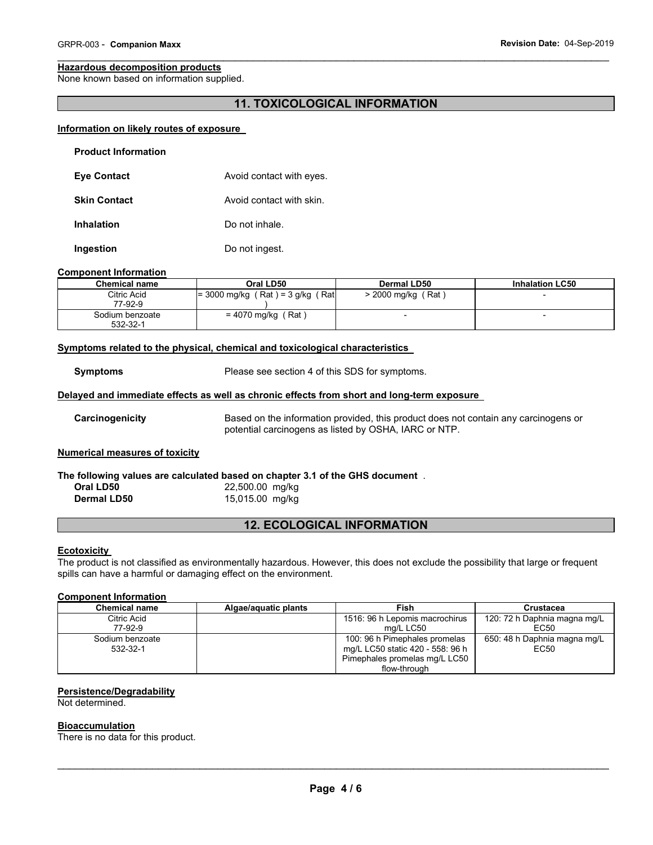#### **Hazardous decomposition products**

None known based on information supplied.

# **11. TOXICOLOGICAL INFORMATION**

 $\overline{\phantom{a}}$  , and the contribution of the contribution of the contribution of the contribution of the contribution of the contribution of the contribution of the contribution of the contribution of the contribution of the

# **Information on likely routes of exposure**

| <b>Product Information</b> |                          |
|----------------------------|--------------------------|
| <b>Eye Contact</b>         | Avoid contact with eyes. |
| <b>Skin Contact</b>        | Avoid contact with skin. |
| <b>Inhalation</b>          | Do not inhale.           |
| Ingestion                  | Do not ingest.           |

#### **Component Information**

| <b>Chemical name</b>        | Oral LD50                               | Dermal LD50          | <b>Inhalation LC50</b> |
|-----------------------------|-----------------------------------------|----------------------|------------------------|
| Citric Acid<br>77-92-9      | $= 3000$ mg/kg (Rat) = 3 g/kg<br>ˈ Ratl | $>$ 2000 mg/kg (Rat) |                        |
| Sodium benzoate<br>532-32-1 | Rat \<br>= 4070 mg/kg(                  |                      | -                      |

#### **Symptoms related to the physical, chemical and toxicological characteristics**

**Symptoms** Please see section 4 of this SDS for symptoms.

#### **Delayed and immediate effects as well as chronic effects from short and long-term exposure**

**Carcinogenicity** Based on the information provided, this product does not contain any carcinogens or potential carcinogens as listed by OSHA, IARC or NTP.

## **Numerical measures of toxicity**

**The following values are calculated based on chapter 3.1 of the GHS document** . **Oral LD50** 22,500.00 mg/kg **Dermal LD50** 15,015.00 mg/kg

# **12. ECOLOGICAL INFORMATION**

# **Ecotoxicity**

The product is not classified as environmentally hazardous. However, this does not exclude the possibility that large or frequent spills can have a harmful or damaging effect on the environment.

#### **Component Information**

| <b>Chemical name</b>        | Algae/aquatic plants | Fish                                                                                                               | <b>Crustacea</b>                     |
|-----------------------------|----------------------|--------------------------------------------------------------------------------------------------------------------|--------------------------------------|
| Citric Acid<br>77-92-9      |                      | 1516: 96 h Lepomis macrochirus<br>ma/L LC50                                                                        | 120: 72 h Daphnia magna mg/L<br>EC50 |
| Sodium benzoate<br>532-32-1 |                      | 100: 96 h Pimephales promelas<br>mg/L LC50 static 420 - 558: 96 h<br>Pimephales promelas mg/L LC50<br>flow-through | 650: 48 h Daphnia magna mg/L<br>EC50 |

#### **Persistence/Degradability**

Not determined.

#### **Bioaccumulation**

There is no data for this product.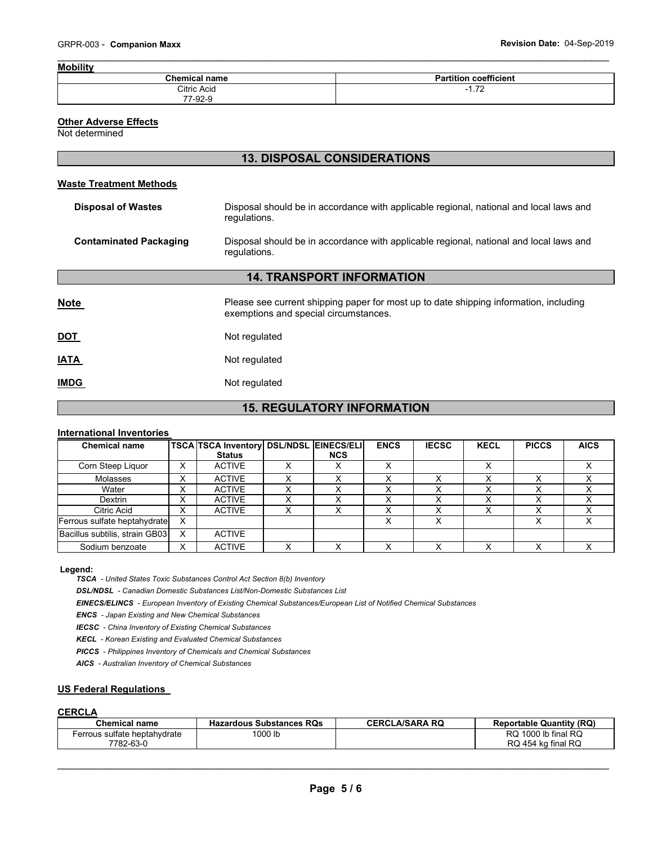| <b>Mobility</b>      |                              |
|----------------------|------------------------------|
| <b>Chemical name</b> | <b>Partition coefficient</b> |
| Citric Acid          | 70<br>.                      |
| 77-92-9              |                              |

# **Other Adverse Effects**

Not determined

# **13. DISPOSAL CONSIDERATIONS**

### **Waste Treatment Methods**

| <b>Disposal of Wastes</b>        | Disposal should be in accordance with applicable regional, national and local laws and<br>regulations.                         |  |  |  |  |  |
|----------------------------------|--------------------------------------------------------------------------------------------------------------------------------|--|--|--|--|--|
| <b>Contaminated Packaging</b>    | Disposal should be in accordance with applicable regional, national and local laws and<br>regulations.                         |  |  |  |  |  |
| <b>14. TRANSPORT INFORMATION</b> |                                                                                                                                |  |  |  |  |  |
| <b>Note</b>                      | Please see current shipping paper for most up to date shipping information, including<br>exemptions and special circumstances. |  |  |  |  |  |
| <u>DOT</u>                       | Not regulated                                                                                                                  |  |  |  |  |  |
| <b>IATA</b>                      | Not regulated                                                                                                                  |  |  |  |  |  |
| <b>IMDG</b>                      | Not regulated                                                                                                                  |  |  |  |  |  |

# **15. REGULATORY INFORMATION**

#### **International Inventories**

| <b>Chemical name</b>           |                   | <b>TSCA TSCA Inventory DSL/NDSL EINECS/ELI</b> |            | <b>ENCS</b> | <b>IECSC</b> | <b>KECL</b> | <b>PICCS</b> | <b>AICS</b> |
|--------------------------------|-------------------|------------------------------------------------|------------|-------------|--------------|-------------|--------------|-------------|
|                                |                   | <b>Status</b>                                  | <b>NCS</b> |             |              |             |              |             |
| Corn Steep Liquor              | X                 | <b>ACTIVE</b>                                  | v          | x           |              |             |              |             |
| Molasses                       | $\check{ }$<br>⋏  | <b>ACTIVE</b>                                  |            |             |              |             |              |             |
| Water                          | v<br>⋏            | <b>ACTIVE</b>                                  |            |             |              |             |              |             |
| Dextrin                        | ◡<br>ㅅ            | <b>ACTIVE</b>                                  |            |             |              |             |              |             |
| Citric Acid                    | $\checkmark$<br>⋏ | <b>ACTIVE</b>                                  |            |             |              |             |              |             |
| Ferrous sulfate heptahydrate   | X                 |                                                |            |             |              |             |              |             |
| Bacillus subtilis, strain GB03 | X                 | <b>ACTIVE</b>                                  |            |             |              |             |              |             |
| Sodium benzoate                | х                 | <b>ACTIVE</b>                                  |            |             |              |             |              |             |

Legend:

TSCA - United States Toxic Substances Control Act Section 8(b) Inventory

DSL/NDSL - Canadian Domestic Substances List/Non-Domestic Substances List

EINECS/ELINCS - European Inventory of Existing Chemical Substances/European List of Notified Chemical Substances

**ENCS** - Japan Existing and New Chemical Substances

**IECSC** - China Inventory of Existing Chemical Substances

**KECL** - Korean Existing and Evaluated Chemical Substances

**PICCS** - Philippines Inventory of Chemicals and Chemical Substances

AICS - Australian Inventory of Chemical Substances

## **US Federal Regulations**

# **CERCLA**

| <b>Chemical name</b>         | <b>Hazardous Substances RQs</b> | <b>CERCLA/SARA RQ</b> | <b>Reportable Quantity (RQ)</b> |
|------------------------------|---------------------------------|-----------------------|---------------------------------|
| Ferrous sulfate heptahydrate | 1000 lb                         |                       | 1000 lb final RQ<br>RQ.         |
| 7782-63-0                    |                                 |                       | RQ 454 kg final RQ              |